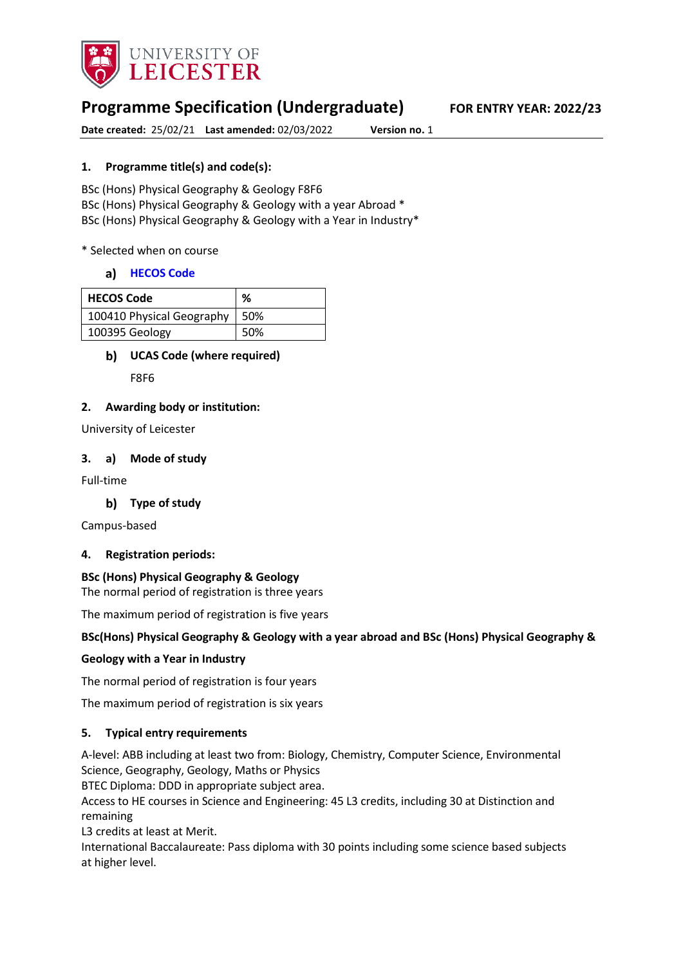

# **Programme Specification (Undergraduate) FOR ENTRY YEAR: 2022/23**

**Date created:** 25/02/21 **Last amended:** 02/03/2022 **Version no.** 1

## **1. Programme title(s) and code(s):**

BSc (Hons) Physical Geography & Geology F8F6 BSc (Hons) Physical Geography & Geology with a year Abroad \* BSc (Hons) Physical Geography & Geology with a Year in Industry\*

\* Selected when on course

### **[HECOS Code](https://www.hesa.ac.uk/innovation/hecos)**

| <b>HECOS Code</b>         | %   |
|---------------------------|-----|
| 100410 Physical Geography | 50% |
| 100395 Geology            | 50% |

### **UCAS Code (where required)**

F8F6

### **2. Awarding body or institution:**

University of Leicester

### **3. a) Mode of study**

Full-time

### **Type of study**

Campus-based

### **4. Registration periods:**

### **BSc (Hons) Physical Geography & Geology**

The normal period of registration is three years

The maximum period of registration is five years

### **BSc(Hons) Physical Geography & Geology with a year abroad and BSc (Hons) Physical Geography &**

### **Geology with a Year in Industry**

The normal period of registration is four years

The maximum period of registration is six years

### **5. Typical entry requirements**

A-level: ABB including at least two from: Biology, Chemistry, Computer Science, Environmental Science, Geography, Geology, Maths or Physics

BTEC Diploma: DDD in appropriate subject area.

Access to HE courses in Science and Engineering: 45 L3 credits, including 30 at Distinction and remaining

L3 credits at least at Merit.

International Baccalaureate: Pass diploma with 30 points including some science based subjects at higher level.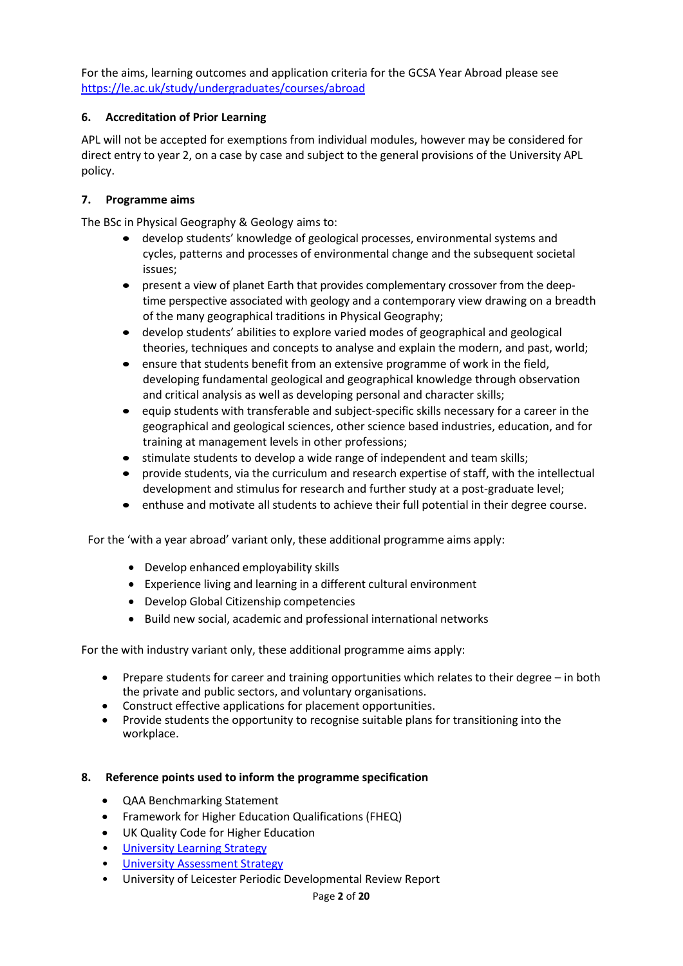For the aims, learning outcomes and application criteria for the GCSA Year Abroad please see <https://le.ac.uk/study/undergraduates/courses/abroad>

## **6. Accreditation of Prior Learning**

APL will not be accepted for exemptions from individual modules, however may be considered for direct entry to year 2, on a case by case and subject to the general provisions of the University APL policy.

## **7. Programme aims**

The BSc in Physical Geography & Geology aims to:

- develop students' knowledge of geological processes, environmental systems and cycles, patterns and processes of environmental change and the subsequent societal issues;
- present a view of planet Earth that provides complementary crossover from the deeptime perspective associated with geology and a contemporary view drawing on a breadth of the many geographical traditions in Physical Geography;
- develop students' abilities to explore varied modes of geographical and geological theories, techniques and concepts to analyse and explain the modern, and past, world;
- ensure that students benefit from an extensive programme of work in the field, developing fundamental geological and geographical knowledge through observation and critical analysis as well as developing personal and character skills;
- equip students with transferable and subject-specific skills necessary for a career in the geographical and geological sciences, other science based industries, education, and for training at management levels in other professions;
- stimulate students to develop a wide range of independent and team skills;
- provide students, via the curriculum and research expertise of staff, with the intellectual development and stimulus for research and further study at a post-graduate level;
- enthuse and motivate all students to achieve their full potential in their degree course.

For the 'with a year abroad' variant only, these additional programme aims apply:

- Develop enhanced employability skills
- Experience living and learning in a different cultural environment
- Develop Global Citizenship competencies
- Build new social, academic and professional international networks

For the with industry variant only, these additional programme aims apply:

- Prepare students for career and training opportunities which relates to their degree in both the private and public sectors, and voluntary organisations.
- Construct effective applications for placement opportunities.
- Provide students the opportunity to recognise suitable plans for transitioning into the workplace.

### **8. Reference points used to inform the programme specification**

- QAA Benchmarking Statement
- Framework for Higher Education Qualifications (FHEQ)
- UK Quality Code for Higher Education
- University Learnin[g Strategy](https://www2.le.ac.uk/offices/sas2/quality/learnteach)
- **[University Assessment Strategy](https://www2.le.ac.uk/offices/sas2/quality/learnteach)**
- University of Leicester Periodic Developmental Review Report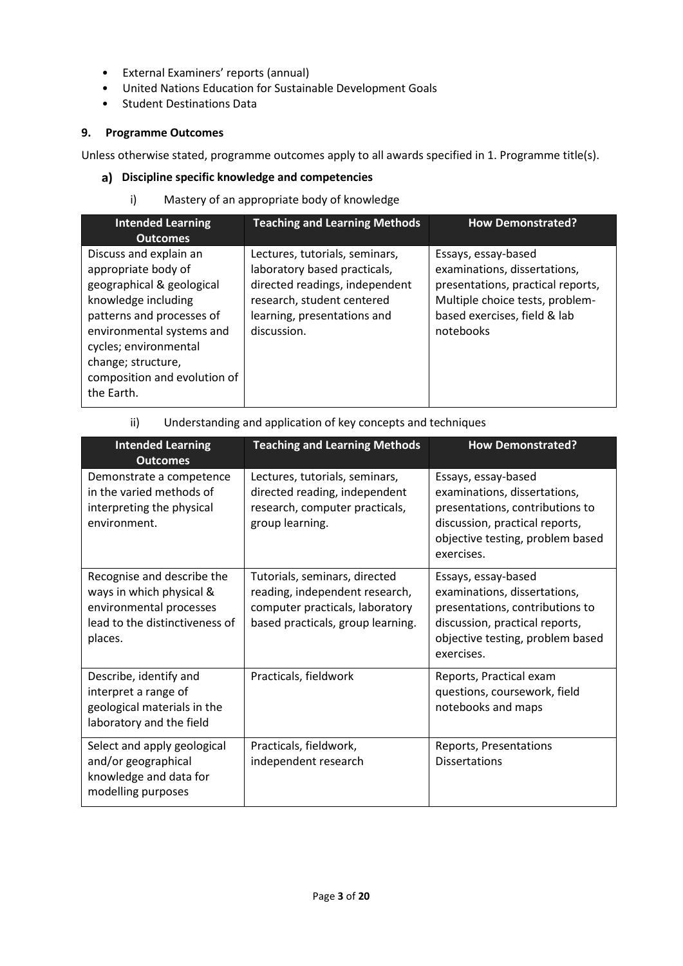- External Examiners' reports (annual)
- United Nations Education for Sustainable Development Goals
- Student Destinations Data

## **9. Programme Outcomes**

Unless otherwise stated, programme outcomes apply to all awards specified in 1. Programme title(s).

## **Discipline specific knowledge and competencies**

i) Mastery of an appropriate body of knowledge

| <b>Intended Learning</b><br><b>Outcomes</b>                                                                                                                                                                                                              | <b>Teaching and Learning Methods</b>                                                                                                                                         | <b>How Demonstrated?</b>                                                                                                                                                 |
|----------------------------------------------------------------------------------------------------------------------------------------------------------------------------------------------------------------------------------------------------------|------------------------------------------------------------------------------------------------------------------------------------------------------------------------------|--------------------------------------------------------------------------------------------------------------------------------------------------------------------------|
| Discuss and explain an<br>appropriate body of<br>geographical & geological<br>knowledge including<br>patterns and processes of<br>environmental systems and<br>cycles; environmental<br>change; structure,<br>composition and evolution of<br>the Earth. | Lectures, tutorials, seminars,<br>laboratory based practicals,<br>directed readings, independent<br>research, student centered<br>learning, presentations and<br>discussion. | Essays, essay-based<br>examinations, dissertations,<br>presentations, practical reports,<br>Multiple choice tests, problem-<br>based exercises, field & lab<br>notebooks |

| ii) | Understanding and application of key concepts and techniques |  |  |  |
|-----|--------------------------------------------------------------|--|--|--|
|-----|--------------------------------------------------------------|--|--|--|

| <b>Intended Learning</b><br><b>Outcomes</b>                                                                                    | <b>Teaching and Learning Methods</b>                                                                                                    | <b>How Demonstrated?</b>                                                                                                                                                   |
|--------------------------------------------------------------------------------------------------------------------------------|-----------------------------------------------------------------------------------------------------------------------------------------|----------------------------------------------------------------------------------------------------------------------------------------------------------------------------|
| Demonstrate a competence<br>in the varied methods of<br>interpreting the physical<br>environment.                              | Lectures, tutorials, seminars,<br>directed reading, independent<br>research, computer practicals,<br>group learning.                    | Essays, essay-based<br>examinations, dissertations,<br>presentations, contributions to<br>discussion, practical reports,<br>objective testing, problem based<br>exercises. |
| Recognise and describe the<br>ways in which physical &<br>environmental processes<br>lead to the distinctiveness of<br>places. | Tutorials, seminars, directed<br>reading, independent research,<br>computer practicals, laboratory<br>based practicals, group learning. | Essays, essay-based<br>examinations, dissertations,<br>presentations, contributions to<br>discussion, practical reports,<br>objective testing, problem based<br>exercises. |
| Describe, identify and<br>interpret a range of<br>geological materials in the<br>laboratory and the field                      | Practicals, fieldwork                                                                                                                   | Reports, Practical exam<br>questions, coursework, field<br>notebooks and maps                                                                                              |
| Select and apply geological<br>and/or geographical<br>knowledge and data for<br>modelling purposes                             | Practicals, fieldwork,<br>independent research                                                                                          | Reports, Presentations<br><b>Dissertations</b>                                                                                                                             |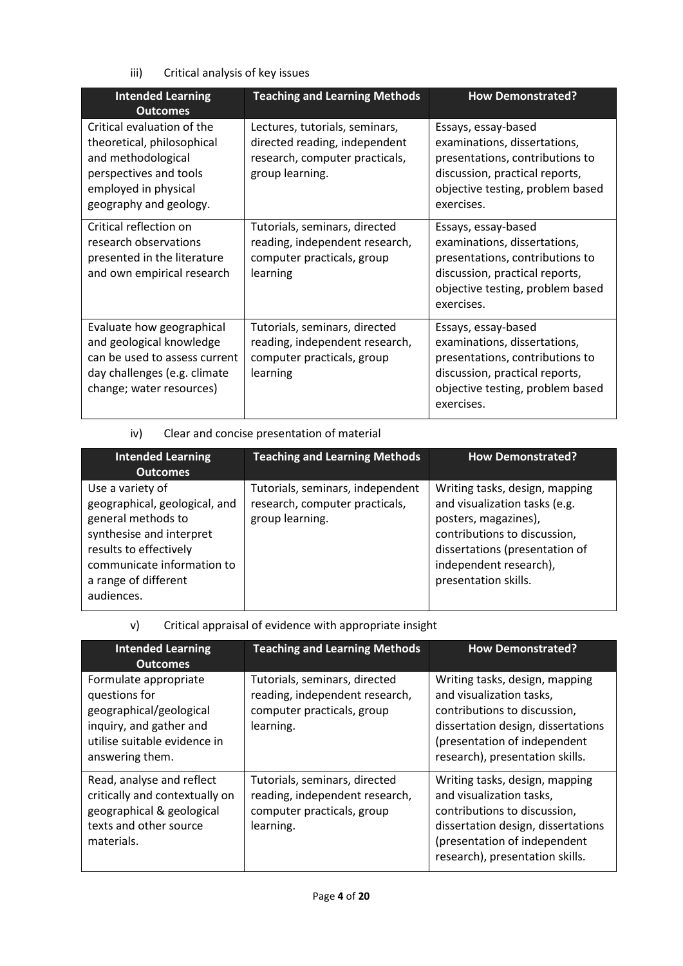iii) Critical analysis of key issues

| <b>Intended Learning</b><br><b>Outcomes</b>                                                                                                                | <b>Teaching and Learning Methods</b>                                                                                 | <b>How Demonstrated?</b>                                                                                                                                                   |
|------------------------------------------------------------------------------------------------------------------------------------------------------------|----------------------------------------------------------------------------------------------------------------------|----------------------------------------------------------------------------------------------------------------------------------------------------------------------------|
| Critical evaluation of the<br>theoretical, philosophical<br>and methodological<br>perspectives and tools<br>employed in physical<br>geography and geology. | Lectures, tutorials, seminars,<br>directed reading, independent<br>research, computer practicals,<br>group learning. | Essays, essay-based<br>examinations, dissertations,<br>presentations, contributions to<br>discussion, practical reports,<br>objective testing, problem based<br>exercises. |
| Critical reflection on<br>research observations<br>presented in the literature<br>and own empirical research                                               | Tutorials, seminars, directed<br>reading, independent research,<br>computer practicals, group<br>learning            | Essays, essay-based<br>examinations, dissertations,<br>presentations, contributions to<br>discussion, practical reports,<br>objective testing, problem based<br>exercises. |
| Evaluate how geographical<br>and geological knowledge<br>can be used to assess current<br>day challenges (e.g. climate<br>change; water resources)         | Tutorials, seminars, directed<br>reading, independent research,<br>computer practicals, group<br>learning            | Essays, essay-based<br>examinations, dissertations,<br>presentations, contributions to<br>discussion, practical reports,<br>objective testing, problem based<br>exercises. |

iv) Clear and concise presentation of material

| <b>Intended Learning</b><br><b>Outcomes</b>                                                                                                                                                       | <b>Teaching and Learning Methods</b>                                                  | <b>How Demonstrated?</b>                                                                                                                                                                                    |
|---------------------------------------------------------------------------------------------------------------------------------------------------------------------------------------------------|---------------------------------------------------------------------------------------|-------------------------------------------------------------------------------------------------------------------------------------------------------------------------------------------------------------|
| Use a variety of<br>geographical, geological, and<br>general methods to<br>synthesise and interpret<br>results to effectively<br>communicate information to<br>a range of different<br>audiences. | Tutorials, seminars, independent<br>research, computer practicals,<br>group learning. | Writing tasks, design, mapping<br>and visualization tasks (e.g.<br>posters, magazines),<br>contributions to discussion,<br>dissertations (presentation of<br>independent research),<br>presentation skills. |

## v) Critical appraisal of evidence with appropriate insight

| <b>Intended Learning</b><br><b>Outcomes</b>                                                                                                     | <b>Teaching and Learning Methods</b>                                                                       | <b>How Demonstrated?</b>                                                                                                                                                                            |
|-------------------------------------------------------------------------------------------------------------------------------------------------|------------------------------------------------------------------------------------------------------------|-----------------------------------------------------------------------------------------------------------------------------------------------------------------------------------------------------|
| Formulate appropriate<br>questions for<br>geographical/geological<br>inquiry, and gather and<br>utilise suitable evidence in<br>answering them. | Tutorials, seminars, directed<br>reading, independent research,<br>computer practicals, group<br>learning. | Writing tasks, design, mapping<br>and visualization tasks,<br>contributions to discussion,<br>dissertation design, dissertations<br>(presentation of independent<br>research), presentation skills. |
| Read, analyse and reflect<br>critically and contextually on<br>geographical & geological<br>texts and other source<br>materials.                | Tutorials, seminars, directed<br>reading, independent research,<br>computer practicals, group<br>learning. | Writing tasks, design, mapping<br>and visualization tasks,<br>contributions to discussion,<br>dissertation design, dissertations<br>(presentation of independent<br>research), presentation skills. |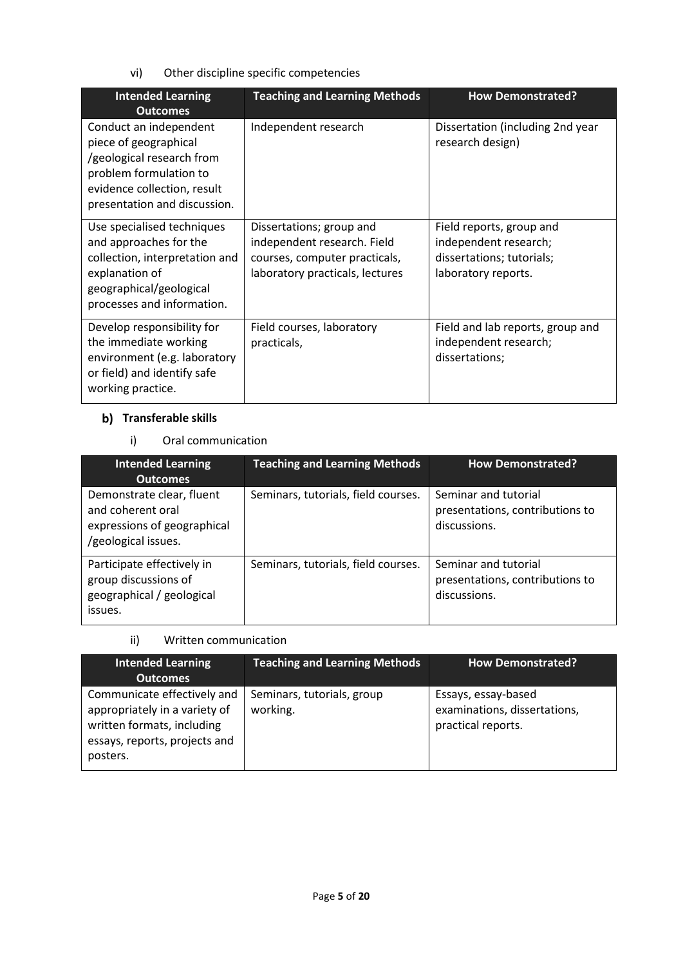vi) Other discipline specific competencies

| <b>Intended Learning</b><br><b>Outcomes</b>                                                                                                                           | <b>Teaching and Learning Methods</b>                                                                                        | <b>How Demonstrated?</b>                                                                              |
|-----------------------------------------------------------------------------------------------------------------------------------------------------------------------|-----------------------------------------------------------------------------------------------------------------------------|-------------------------------------------------------------------------------------------------------|
| Conduct an independent<br>piece of geographical<br>/geological research from<br>problem formulation to<br>evidence collection, result<br>presentation and discussion. | Independent research                                                                                                        | Dissertation (including 2nd year<br>research design)                                                  |
| Use specialised techniques<br>and approaches for the<br>collection, interpretation and<br>explanation of<br>geographical/geological<br>processes and information.     | Dissertations; group and<br>independent research. Field<br>courses, computer practicals,<br>laboratory practicals, lectures | Field reports, group and<br>independent research;<br>dissertations; tutorials;<br>laboratory reports. |
| Develop responsibility for<br>the immediate working<br>environment (e.g. laboratory<br>or field) and identify safe<br>working practice.                               | Field courses, laboratory<br>practicals,                                                                                    | Field and lab reports, group and<br>independent research;<br>dissertations;                           |

## **Transferable skills**

i) Oral communication

| <b>Intended Learning</b>                                                                             | <b>Teaching and Learning Methods</b> | <b>How Demonstrated?</b>                                                |
|------------------------------------------------------------------------------------------------------|--------------------------------------|-------------------------------------------------------------------------|
| <b>Outcomes</b>                                                                                      |                                      |                                                                         |
| Demonstrate clear, fluent<br>and coherent oral<br>expressions of geographical<br>/geological issues. | Seminars, tutorials, field courses.  | Seminar and tutorial<br>presentations, contributions to<br>discussions. |
| Participate effectively in<br>group discussions of<br>geographical / geological<br>issues.           | Seminars, tutorials, field courses.  | Seminar and tutorial<br>presentations, contributions to<br>discussions. |

ii) Written communication

| <b>Intended Learning</b>                                                                                                                | <b>Teaching and Learning Methods</b>   | <b>How Demonstrated?</b>                                                  |
|-----------------------------------------------------------------------------------------------------------------------------------------|----------------------------------------|---------------------------------------------------------------------------|
| <b>Outcomes</b>                                                                                                                         |                                        |                                                                           |
| Communicate effectively and<br>appropriately in a variety of<br>written formats, including<br>essays, reports, projects and<br>posters. | Seminars, tutorials, group<br>working. | Essays, essay-based<br>examinations, dissertations,<br>practical reports. |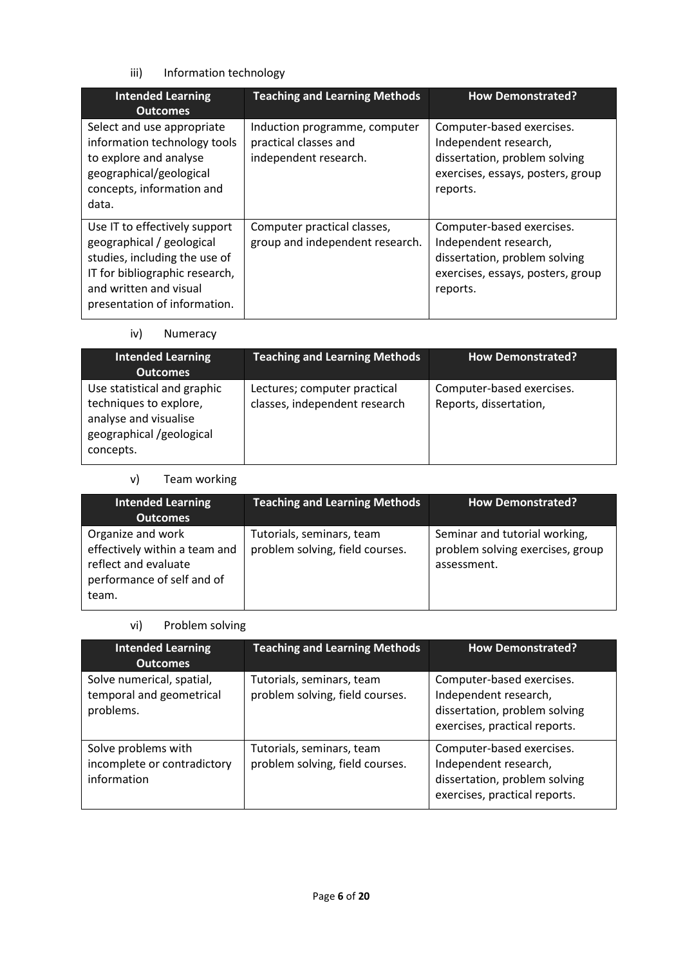## iii) Information technology

| <b>Intended Learning</b><br><b>Outcomes</b>                                                                                                                                             | <b>Teaching and Learning Methods</b>                                            | <b>How Demonstrated?</b>                                                                                                             |
|-----------------------------------------------------------------------------------------------------------------------------------------------------------------------------------------|---------------------------------------------------------------------------------|--------------------------------------------------------------------------------------------------------------------------------------|
| Select and use appropriate<br>information technology tools<br>to explore and analyse<br>geographical/geological<br>concepts, information and<br>data.                                   | Induction programme, computer<br>practical classes and<br>independent research. | Computer-based exercises.<br>Independent research,<br>dissertation, problem solving<br>exercises, essays, posters, group<br>reports. |
| Use IT to effectively support<br>geographical / geological<br>studies, including the use of<br>IT for bibliographic research,<br>and written and visual<br>presentation of information. | Computer practical classes,<br>group and independent research.                  | Computer-based exercises.<br>Independent research,<br>dissertation, problem solving<br>exercises, essays, posters, group<br>reports. |

## iv) Numeracy

| <b>Intended Learning</b><br><b>Outcomes</b>                                                                             | <b>Teaching and Learning Methods</b>                          | <b>How Demonstrated?</b>                            |
|-------------------------------------------------------------------------------------------------------------------------|---------------------------------------------------------------|-----------------------------------------------------|
| Use statistical and graphic<br>techniques to explore,<br>analyse and visualise<br>geographical /geological<br>concepts. | Lectures; computer practical<br>classes, independent research | Computer-based exercises.<br>Reports, dissertation, |

## v) Team working

| <b>Intended Learning</b><br><b>Outcomes</b>                                                                       | <b>Teaching and Learning Methods</b>                         | <b>How Demonstrated?</b>                                                         |
|-------------------------------------------------------------------------------------------------------------------|--------------------------------------------------------------|----------------------------------------------------------------------------------|
| Organize and work<br>effectively within a team and<br>reflect and evaluate<br>performance of self and of<br>team. | Tutorials, seminars, team<br>problem solving, field courses. | Seminar and tutorial working,<br>problem solving exercises, group<br>assessment. |

# vi) Problem solving

| <b>Intended Learning</b><br><b>Outcomes</b>                        | <b>Teaching and Learning Methods</b>                         | <b>How Demonstrated?</b>                                                                                             |  |
|--------------------------------------------------------------------|--------------------------------------------------------------|----------------------------------------------------------------------------------------------------------------------|--|
| Solve numerical, spatial,<br>temporal and geometrical<br>problems. | Tutorials, seminars, team<br>problem solving, field courses. | Computer-based exercises.<br>Independent research,<br>dissertation, problem solving<br>exercises, practical reports. |  |
| Solve problems with<br>incomplete or contradictory<br>information  | Tutorials, seminars, team<br>problem solving, field courses. | Computer-based exercises.<br>Independent research,<br>dissertation, problem solving<br>exercises, practical reports. |  |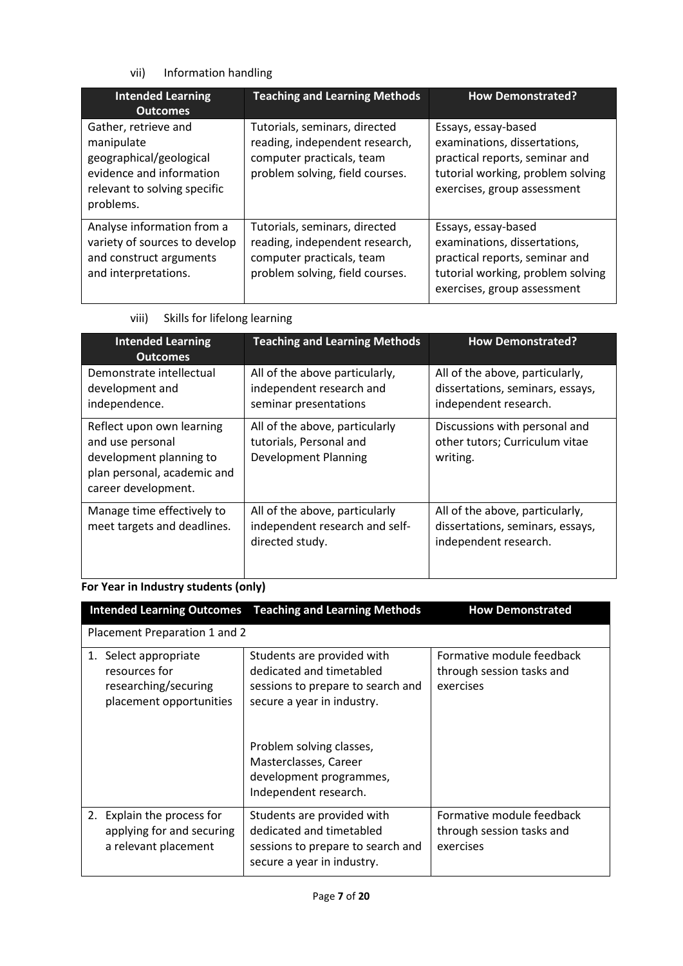## vii) Information handling

| <b>Intended Learning</b><br><b>Outcomes</b>                                                                                            | <b>Teaching and Learning Methods</b>                                                                                            | <b>How Demonstrated?</b>                                                                                                                                  |  |
|----------------------------------------------------------------------------------------------------------------------------------------|---------------------------------------------------------------------------------------------------------------------------------|-----------------------------------------------------------------------------------------------------------------------------------------------------------|--|
| Gather, retrieve and<br>manipulate<br>geographical/geological<br>evidence and information<br>relevant to solving specific<br>problems. | Tutorials, seminars, directed<br>reading, independent research,<br>computer practicals, team<br>problem solving, field courses. | Essays, essay-based<br>examinations, dissertations,<br>practical reports, seminar and<br>tutorial working, problem solving<br>exercises, group assessment |  |
| Analyse information from a<br>variety of sources to develop<br>and construct arguments<br>and interpretations.                         | Tutorials, seminars, directed<br>reading, independent research,<br>computer practicals, team<br>problem solving, field courses. | Essays, essay-based<br>examinations, dissertations,<br>practical reports, seminar and<br>tutorial working, problem solving<br>exercises, group assessment |  |

viii) Skills for lifelong learning

| <b>Intended Learning</b><br><b>Outcomes</b>                                                                                    | <b>Teaching and Learning Methods</b>                                                                 | <b>How Demonstrated?</b>                                                                     |  |
|--------------------------------------------------------------------------------------------------------------------------------|------------------------------------------------------------------------------------------------------|----------------------------------------------------------------------------------------------|--|
| Demonstrate intellectual<br>development and<br>independence.                                                                   | All of the above particularly,<br>independent research and<br>seminar presentations                  | All of the above, particularly,<br>dissertations, seminars, essays,<br>independent research. |  |
| Reflect upon own learning<br>and use personal<br>development planning to<br>plan personal, academic and<br>career development. | All of the above, particularly<br>tutorials, Personal and<br><b>Development Planning</b><br>writing. | Discussions with personal and<br>other tutors; Curriculum vitae                              |  |
| Manage time effectively to<br>meet targets and deadlines.                                                                      | All of the above, particularly<br>independent research and self-<br>directed study.                  | All of the above, particularly,<br>dissertations, seminars, essays,<br>independent research. |  |

# **For Year in Industry students (only)**

| <b>Intended Learning Outcomes</b>                                                            | <b>Teaching and Learning Methods</b>                                                                                                                                                                                               | <b>How Demonstrated</b>                                             |
|----------------------------------------------------------------------------------------------|------------------------------------------------------------------------------------------------------------------------------------------------------------------------------------------------------------------------------------|---------------------------------------------------------------------|
| Placement Preparation 1 and 2                                                                |                                                                                                                                                                                                                                    |                                                                     |
| Select appropriate<br>1.<br>resources for<br>researching/securing<br>placement opportunities | Students are provided with<br>dedicated and timetabled<br>sessions to prepare to search and<br>secure a year in industry.<br>Problem solving classes,<br>Masterclasses, Career<br>development programmes,<br>Independent research. | Formative module feedback<br>through session tasks and<br>exercises |
| 2. Explain the process for<br>applying for and securing<br>a relevant placement              | Students are provided with<br>dedicated and timetabled<br>sessions to prepare to search and<br>secure a year in industry.                                                                                                          | Formative module feedback<br>through session tasks and<br>exercises |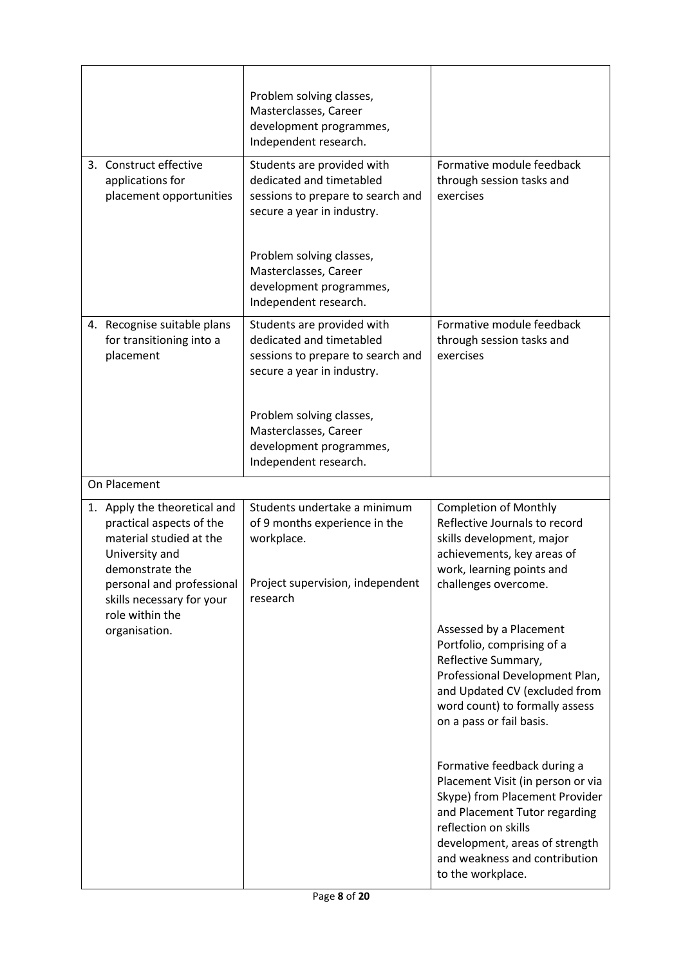|                                                                                                                                                                                                   | Problem solving classes,<br>Masterclasses, Career<br>development programmes,<br>Independent research.                                                 |                                                                                                                                                                                                               |
|---------------------------------------------------------------------------------------------------------------------------------------------------------------------------------------------------|-------------------------------------------------------------------------------------------------------------------------------------------------------|---------------------------------------------------------------------------------------------------------------------------------------------------------------------------------------------------------------|
| 3. Construct effective<br>applications for<br>placement opportunities                                                                                                                             | Students are provided with<br>dedicated and timetabled<br>sessions to prepare to search and<br>secure a year in industry.<br>Problem solving classes, | Formative module feedback<br>through session tasks and<br>exercises                                                                                                                                           |
|                                                                                                                                                                                                   | Masterclasses, Career<br>development programmes,<br>Independent research.                                                                             |                                                                                                                                                                                                               |
| 4. Recognise suitable plans<br>Students are provided with<br>dedicated and timetabled<br>for transitioning into a<br>placement<br>sessions to prepare to search and<br>secure a year in industry. |                                                                                                                                                       | Formative module feedback<br>through session tasks and<br>exercises                                                                                                                                           |
|                                                                                                                                                                                                   | Problem solving classes,<br>Masterclasses, Career<br>development programmes,<br>Independent research.                                                 |                                                                                                                                                                                                               |
| On Placement                                                                                                                                                                                      |                                                                                                                                                       |                                                                                                                                                                                                               |
| 1. Apply the theoretical and                                                                                                                                                                      | Students undertake a minimum                                                                                                                          | <b>Completion of Monthly</b>                                                                                                                                                                                  |
| practical aspects of the<br>material studied at the<br>University and<br>demonstrate the<br>personal and professional<br>skills necessary for your                                                | of 9 months experience in the<br>workplace.<br>Project supervision, independent<br>research                                                           | Reflective Journals to record<br>skills development, major<br>achievements, key areas of<br>work, learning points and<br>challenges overcome.                                                                 |
| role within the<br>organisation.                                                                                                                                                                  |                                                                                                                                                       | Assessed by a Placement<br>Portfolio, comprising of a<br>Reflective Summary,<br>Professional Development Plan,<br>and Updated CV (excluded from<br>word count) to formally assess<br>on a pass or fail basis. |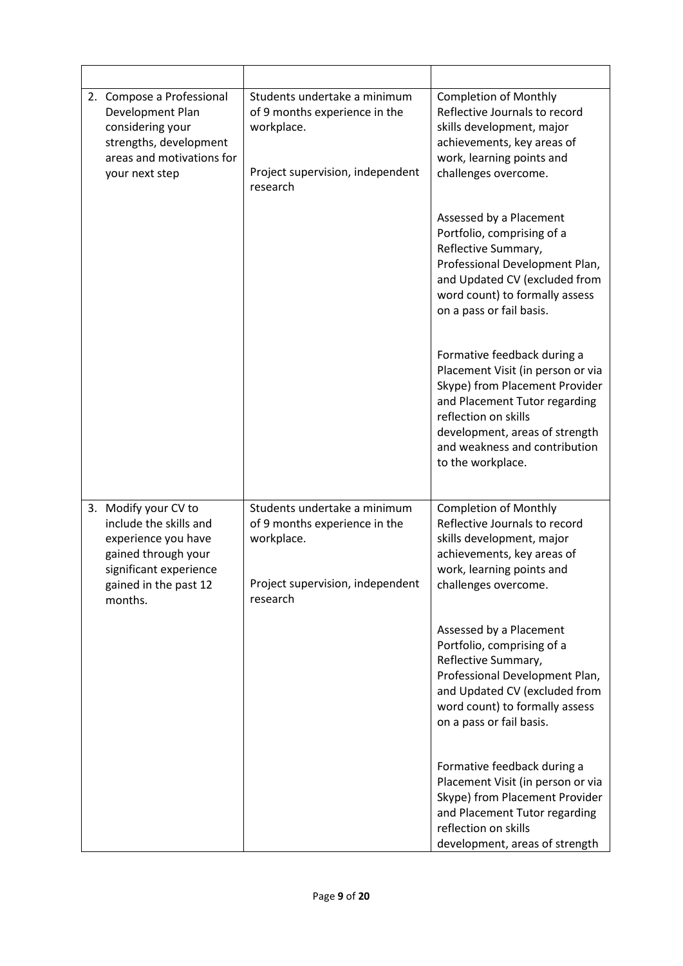| 2. | Compose a Professional<br>Development Plan<br>considering your<br>strengths, development<br>areas and motivations for<br>your next step                    | Students undertake a minimum<br>of 9 months experience in the<br>workplace.<br>Project supervision, independent<br>research | <b>Completion of Monthly</b><br>Reflective Journals to record<br>skills development, major<br>achievements, key areas of<br>work, learning points and<br>challenges overcome.                                                                       |
|----|------------------------------------------------------------------------------------------------------------------------------------------------------------|-----------------------------------------------------------------------------------------------------------------------------|-----------------------------------------------------------------------------------------------------------------------------------------------------------------------------------------------------------------------------------------------------|
|    |                                                                                                                                                            |                                                                                                                             | Assessed by a Placement<br>Portfolio, comprising of a<br>Reflective Summary,<br>Professional Development Plan,<br>and Updated CV (excluded from<br>word count) to formally assess<br>on a pass or fail basis.                                       |
|    |                                                                                                                                                            |                                                                                                                             | Formative feedback during a<br>Placement Visit (in person or via<br>Skype) from Placement Provider<br>and Placement Tutor regarding<br>reflection on skills<br>development, areas of strength<br>and weakness and contribution<br>to the workplace. |
|    | 3. Modify your CV to<br>include the skills and<br>experience you have<br>gained through your<br>significant experience<br>gained in the past 12<br>months. | Students undertake a minimum<br>of 9 months experience in the<br>workplace.<br>Project supervision, independent<br>research | <b>Completion of Monthly</b><br>Reflective Journals to record<br>skills development, major<br>achievements, key areas of<br>work, learning points and<br>challenges overcome.                                                                       |
|    |                                                                                                                                                            |                                                                                                                             | Assessed by a Placement<br>Portfolio, comprising of a<br>Reflective Summary,<br>Professional Development Plan,<br>and Updated CV (excluded from<br>word count) to formally assess<br>on a pass or fail basis.                                       |
|    |                                                                                                                                                            |                                                                                                                             | Formative feedback during a<br>Placement Visit (in person or via<br>Skype) from Placement Provider<br>and Placement Tutor regarding<br>reflection on skills<br>development, areas of strength                                                       |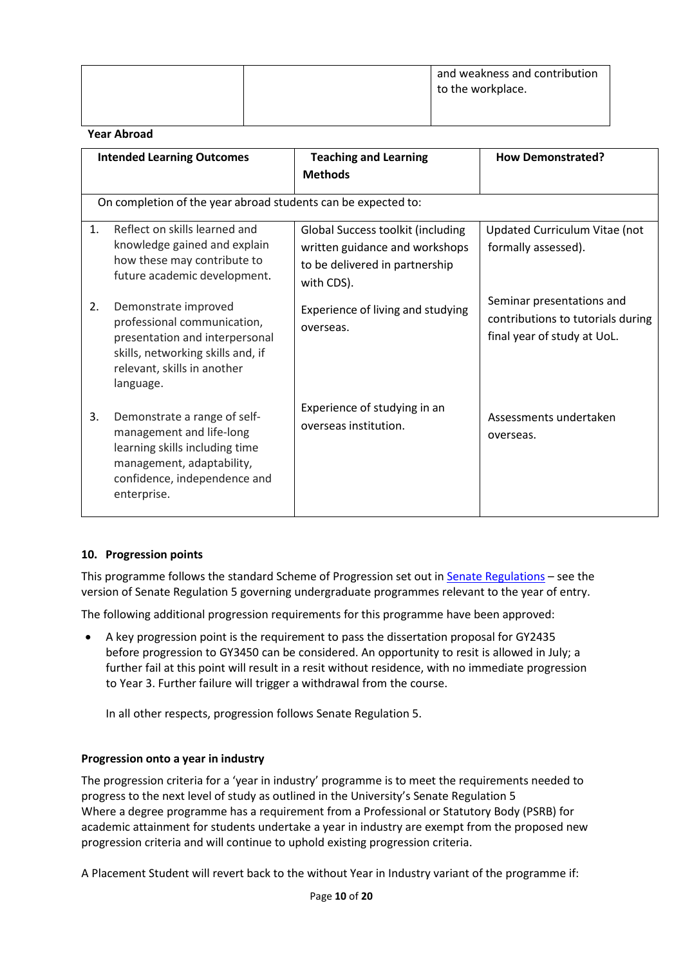|    |                                                                                                                                                                        |                                                                                                                            | and weakness and contribution<br>to the workplace.                                            |
|----|------------------------------------------------------------------------------------------------------------------------------------------------------------------------|----------------------------------------------------------------------------------------------------------------------------|-----------------------------------------------------------------------------------------------|
|    | <b>Year Abroad</b>                                                                                                                                                     |                                                                                                                            |                                                                                               |
|    | <b>Intended Learning Outcomes</b>                                                                                                                                      | <b>Teaching and Learning</b><br><b>Methods</b>                                                                             | <b>How Demonstrated?</b>                                                                      |
|    | On completion of the year abroad students can be expected to:                                                                                                          |                                                                                                                            |                                                                                               |
| 1. | Reflect on skills learned and<br>knowledge gained and explain<br>how these may contribute to<br>future academic development.                                           | <b>Global Success toolkit (including</b><br>written guidance and workshops<br>to be delivered in partnership<br>with CDS). | Updated Curriculum Vitae (not<br>formally assessed).                                          |
| 2. | Demonstrate improved<br>professional communication,<br>presentation and interpersonal<br>skills, networking skills and, if<br>relevant, skills in another<br>language. | Experience of living and studying<br>overseas.                                                                             | Seminar presentations and<br>contributions to tutorials during<br>final year of study at UoL. |
| 3. | Demonstrate a range of self-<br>management and life-long<br>learning skills including time<br>management, adaptability,<br>confidence, independence and<br>enterprise. | Experience of studying in an<br>overseas institution.                                                                      | Assessments undertaken<br>overseas.                                                           |

### **10. Progression points**

This programme follows the standard Scheme of Progression set out i[n Senate Regulations](http://www.le.ac.uk/senate-regulations) – see the version of Senate Regulation 5 governing undergraduate programmes relevant to the year of entry.

The following additional progression requirements for this programme have been approved:

• A key progression point is the requirement to pass the dissertation proposal for GY2435 before progression to GY3450 can be considered. An opportunity to resit is allowed in July; a further fail at this point will result in a resit without residence, with no immediate progression to Year 3. Further failure will trigger a withdrawal from the course.

In all other respects, progression follows Senate Regulation 5.

### **Progression onto a year in industry**

The progression criteria for a 'year in industry' programme is to meet the requirements needed to progress to the next level of study as outlined in the University's Senate Regulation 5 Where a degree programme has a requirement from a Professional or Statutory Body (PSRB) for academic attainment for students undertake a year in industry are exempt from the proposed new progression criteria and will continue to uphold existing progression criteria.

A Placement Student will revert back to the without Year in Industry variant of the programme if: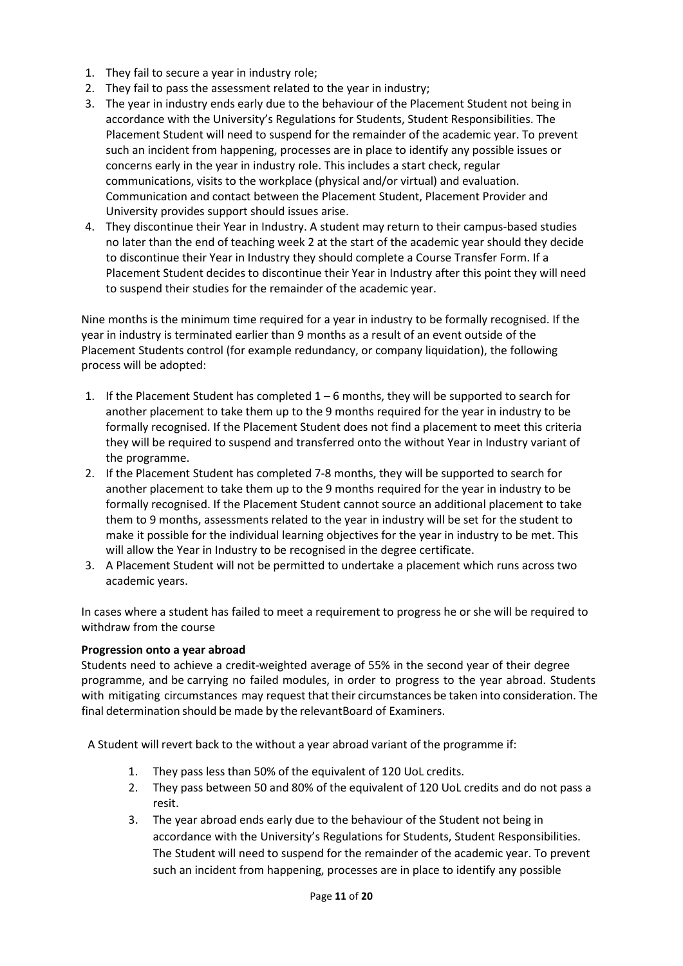- 1. They fail to secure a year in industry role;
- 2. They fail to pass the assessment related to the year in industry;
- 3. The year in industry ends early due to the behaviour of the Placement Student not being in accordance with the University's Regulations for Students, Student Responsibilities. The Placement Student will need to suspend for the remainder of the academic year. To prevent such an incident from happening, processes are in place to identify any possible issues or concerns early in the year in industry role. This includes a start check, regular communications, visits to the workplace (physical and/or virtual) and evaluation. Communication and contact between the Placement Student, Placement Provider and University provides support should issues arise.
- 4. They discontinue their Year in Industry. A student may return to their campus-based studies no later than the end of teaching week 2 at the start of the academic year should they decide to discontinue their Year in Industry they should complete a Course Transfer Form. If a Placement Student decides to discontinue their Year in Industry after this point they will need to suspend their studies for the remainder of the academic year.

Nine months is the minimum time required for a year in industry to be formally recognised. If the year in industry is terminated earlier than 9 months as a result of an event outside of the Placement Students control (for example redundancy, or company liquidation), the following process will be adopted:

- 1. If the Placement Student has completed  $1 6$  months, they will be supported to search for another placement to take them up to the 9 months required for the year in industry to be formally recognised. If the Placement Student does not find a placement to meet this criteria they will be required to suspend and transferred onto the without Year in Industry variant of the programme.
- 2. If the Placement Student has completed 7-8 months, they will be supported to search for another placement to take them up to the 9 months required for the year in industry to be formally recognised. If the Placement Student cannot source an additional placement to take them to 9 months, assessments related to the year in industry will be set for the student to make it possible for the individual learning objectives for the year in industry to be met. This will allow the Year in Industry to be recognised in the degree certificate.
- 3. A Placement Student will not be permitted to undertake a placement which runs across two academic years.

In cases where a student has failed to meet a requirement to progress he or she will be required to withdraw from the course

### **Progression onto a year abroad**

Students need to achieve a credit-weighted average of 55% in the second year of their degree programme, and be carrying no failed modules, in order to progress to the year abroad. Students with mitigating circumstances may request that their circumstances be taken into consideration. The final determination should be made by the relevantBoard of Examiners.

A Student will revert back to the without a year abroad variant of the programme if:

- 1. They pass less than 50% of the equivalent of 120 UoL credits.
- 2. They pass between 50 and 80% of the equivalent of 120 UoL credits and do not pass a resit.
- 3. The year abroad ends early due to the behaviour of the Student not being in accordance with the University's Regulations for Students. Student Responsibilities. The Student will need to suspend for the remainder of the academic year. To prevent such an incident from happening, processes are in place to identify any possible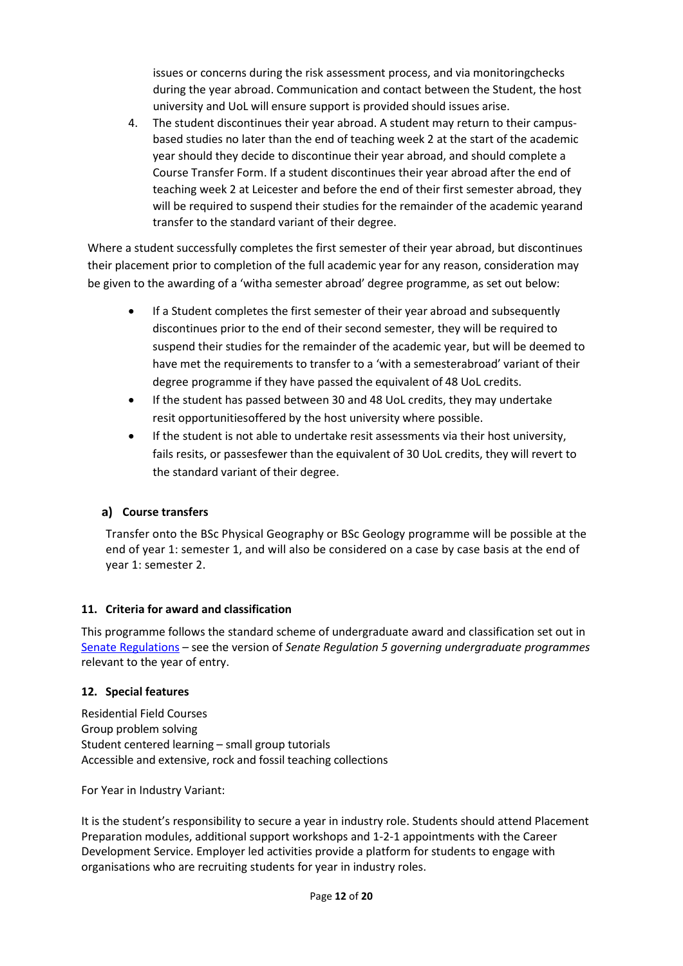issues or concerns during the risk assessment process, and via monitoringchecks during the year abroad. Communication and contact between the Student, the host university and UoL will ensure support is provided should issues arise.

4. The student discontinues their year abroad. A student may return to their campusbased studies no later than the end of teaching week 2 at the start of the academic year should they decide to discontinue their year abroad, and should complete a Course Transfer Form. If a student discontinues their year abroad after the end of teaching week 2 at Leicester and before the end of their first semester abroad, they will be required to suspend their studies for the remainder of the academic yearand transfer to the standard variant of their degree.

Where a student successfully completes the first semester of their year abroad, but discontinues their placement prior to completion of the full academic year for any reason, consideration may be given to the awarding of a 'witha semester abroad' degree programme, as set out below:

- If a Student completes the first semester of their year abroad and subsequently discontinues prior to the end of their second semester, they will be required to suspend their studies for the remainder of the academic year, but will be deemed to have met the requirements to transfer to a 'with a semesterabroad' variant of their degree programme if they have passed the equivalent of 48 UoL credits.
- If the student has passed between 30 and 48 UoL credits, they may undertake resit opportunitiesoffered by the host university where possible.
- If the student is not able to undertake resit assessments via their host university, fails resits, or passesfewer than the equivalent of 30 UoL credits, they will revert to the standard variant of their degree.

## **Course transfers**

Transfer onto the BSc Physical Geography or BSc Geology programme will be possible at the end of year 1: semester 1, and will also be considered on a case by case basis at the end of year 1: semester 2.

### **11. Criteria for award and classification**

This programme follows the standard scheme of undergraduate award and classification set out in [Senate Regulations](http://www.le.ac.uk/senate-regulations) – see the version of *Senate Regulation 5 governing undergraduate programmes* relevant to the year of entry.

### **12. Special features**

Residential Field Courses Group problem solving Student centered learning – small group tutorials Accessible and extensive, rock and fossil teaching collections

For Year in Industry Variant:

It is the student's responsibility to secure a year in industry role. Students should attend Placement Preparation modules, additional support workshops and 1-2-1 appointments with the Career Development Service. Employer led activities provide a platform for students to engage with organisations who are recruiting students for year in industry roles.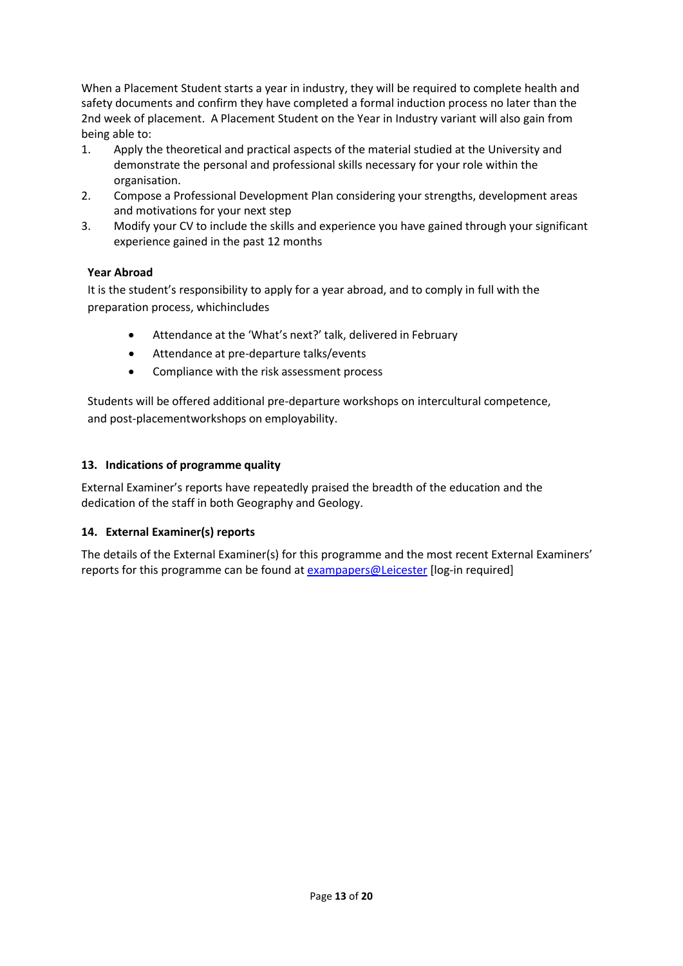When a Placement Student starts a year in industry, they will be required to complete health and safety documents and confirm they have completed a formal induction process no later than the 2nd week of placement. A Placement Student on the Year in Industry variant will also gain from being able to:

- 1. Apply the theoretical and practical aspects of the material studied at the University and demonstrate the personal and professional skills necessary for your role within the organisation.
- 2. Compose a Professional Development Plan considering your strengths, development areas and motivations for your next step
- 3. Modify your CV to include the skills and experience you have gained through your significant experience gained in the past 12 months

## **Year Abroad**

It is the student's responsibility to apply for a year abroad, and to comply in full with the preparation process, whichincludes

- Attendance at the 'What's next?' talk, delivered in February
- Attendance at pre-departure talks/events
- Compliance with the risk assessment process

Students will be offered additional pre-departure workshops on intercultural competence, and post-placementworkshops on employability.

## **13. Indications of programme quality**

External Examiner's reports have repeatedly praised the breadth of the education and the dedication of the staff in both Geography and Geology.

## **14. External Examiner(s) reports**

The details of the External Examiner(s) for this programme and the most recent External Examiners' reports for this programme can be found at [exampapers@Leicester](https://exampapers.le.ac.uk/) [log-in required]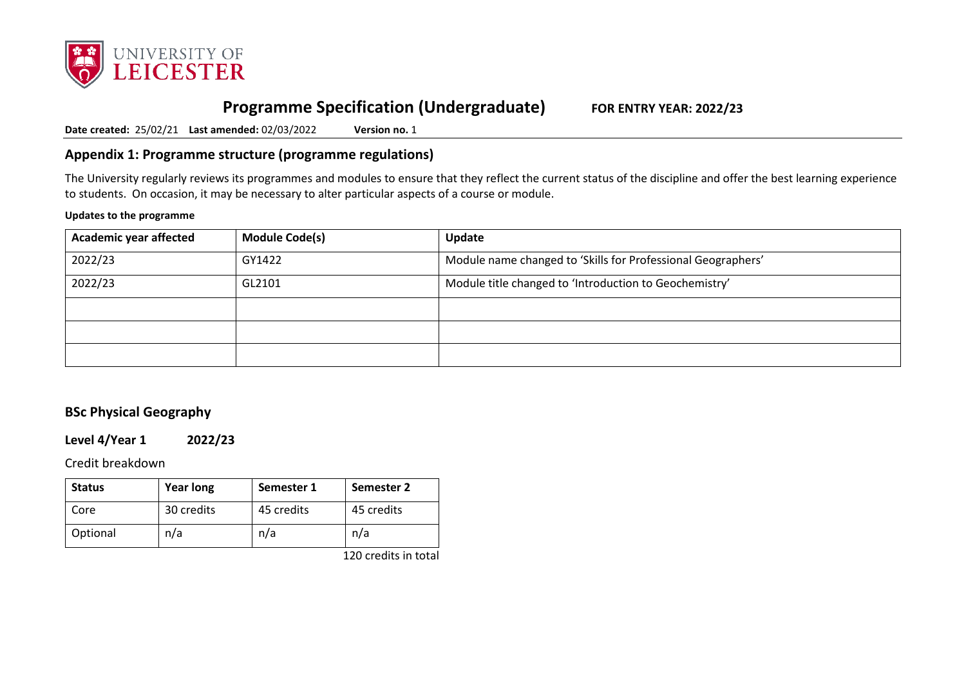

# **Programme Specification (Undergraduate) FOR ENTRY YEAR: 2022/23**

**Date created:** 25/02/21 **Last amended:** 02/03/2022 **Version no.** 1

## **Appendix 1: Programme structure (programme regulations)**

The University regularly reviews its programmes and modules to ensure that they reflect the current status of the discipline and offer the best learning experience to students. On occasion, it may be necessary to alter particular aspects of a course or module.

#### **Updates to the programme**

| <b>Academic year affected</b> | <b>Module Code(s)</b> | Update                                                       |
|-------------------------------|-----------------------|--------------------------------------------------------------|
| 2022/23                       | GY1422                | Module name changed to 'Skills for Professional Geographers' |
| 2022/23                       | GL2101                | Module title changed to 'Introduction to Geochemistry'       |
|                               |                       |                                                              |
|                               |                       |                                                              |
|                               |                       |                                                              |

# **BSc Physical Geography**

**Level 4/Year 1 2022/23**

Credit breakdown

| <b>Status</b> | Year long  | Semester 1 | Semester 2 |
|---------------|------------|------------|------------|
| Core          | 30 credits | 45 credits | 45 credits |
| Optional      | n/a        | n/a        | n/a        |

120 credits in total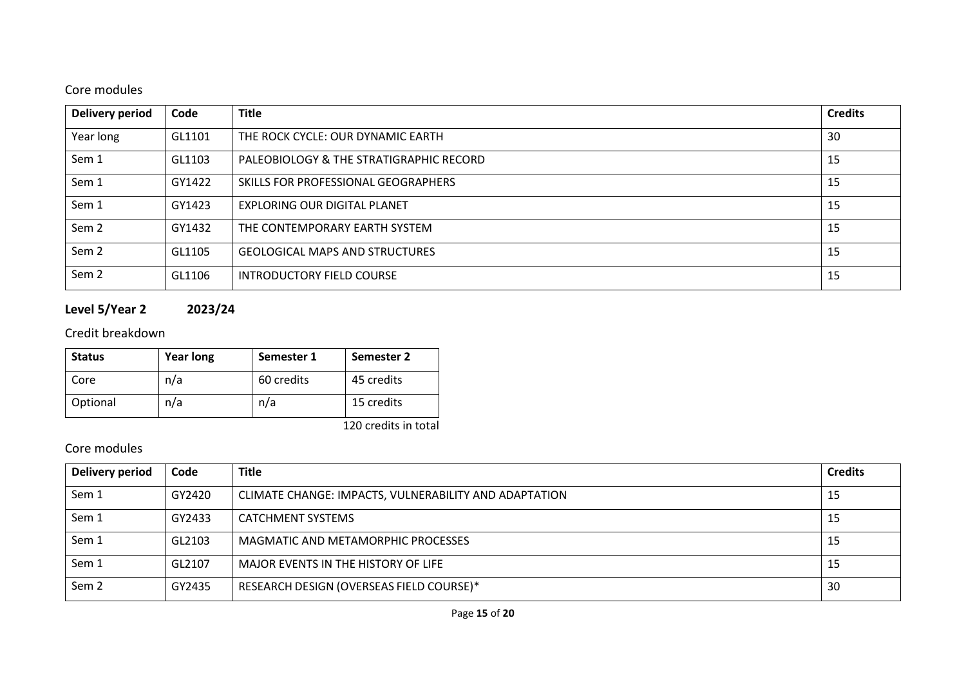# Core modules

| <b>Delivery period</b> | Code   | <b>Title</b>                            | <b>Credits</b> |
|------------------------|--------|-----------------------------------------|----------------|
| Year long              | GL1101 | THE ROCK CYCLE: OUR DYNAMIC EARTH       | 30             |
| Sem 1                  | GL1103 | PALEOBIOLOGY & THE STRATIGRAPHIC RECORD | 15             |
| Sem 1                  | GY1422 | SKILLS FOR PROFESSIONAL GEOGRAPHERS     | 15             |
| Sem 1                  | GY1423 | EXPLORING OUR DIGITAL PLANET            | 15             |
| Sem <sub>2</sub>       | GY1432 | THE CONTEMPORARY EARTH SYSTEM           | 15             |
| Sem <sub>2</sub>       | GL1105 | <b>GEOLOGICAL MAPS AND STRUCTURES</b>   | 15             |
| Sem <sub>2</sub>       | GL1106 | INTRODUCTORY FIELD COURSE               | 15             |

# **Level 5/Year 2 2023/24**

# Credit breakdown

| <b>Status</b> | <b>Year long</b> | Semester 1 | Semester 2           |
|---------------|------------------|------------|----------------------|
| Core          | n/a              | 60 credits | 45 credits           |
| Optional      | n/a              | n/a        | 15 credits           |
|               |                  |            | 120 credits in total |

# Core modules

| Delivery period  | Code   | <b>Title</b>                                          | <b>Credits</b> |
|------------------|--------|-------------------------------------------------------|----------------|
| Sem 1            | GY2420 | CLIMATE CHANGE: IMPACTS, VULNERABILITY AND ADAPTATION | 15             |
| Sem 1            | GY2433 | <b>CATCHMENT SYSTEMS</b>                              | -15            |
| Sem 1            | GL2103 | MAGMATIC AND METAMORPHIC PROCESSES                    | -15            |
| Sem 1            | GL2107 | MAJOR EVENTS IN THE HISTORY OF LIFE                   | -15            |
| Sem <sub>2</sub> | GY2435 | RESEARCH DESIGN (OVERSEAS FIELD COURSE)*              | 30             |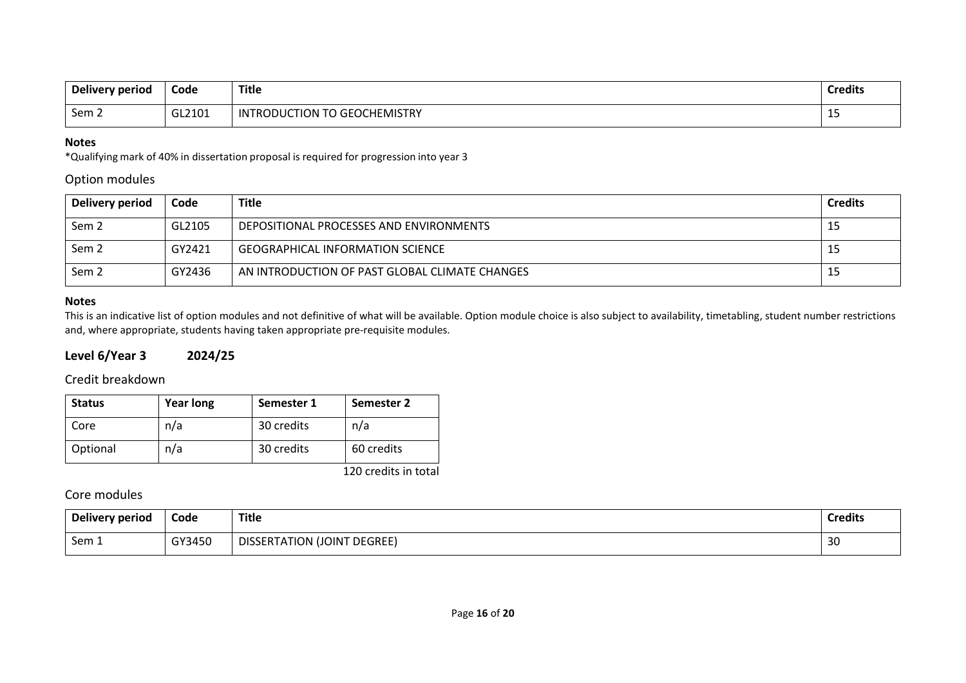| Delivery period | Code   | <b>Title</b>                                                          | <b>Credits</b> |
|-----------------|--------|-----------------------------------------------------------------------|----------------|
| Sem 2           | GL2101 | $\tau$<br>GEOCI<br><b>CHEMISTRY</b><br>TION<br>IN.<br>D7<br>DI.<br>rι | --             |

#### **Notes**

\*Qualifying mark of 40% in dissertation proposal is required for progression into year 3

### Option modules

| Delivery period  | Code   | <b>Title</b>                                   | <b>Credits</b> |
|------------------|--------|------------------------------------------------|----------------|
| Sem <sub>2</sub> | GL2105 | DEPOSITIONAL PROCESSES AND ENVIRONMENTS        | 15             |
| Sem <sub>2</sub> | GY2421 | <b>GEOGRAPHICAL INFORMATION SCIENCE</b>        | 15             |
| Sem <sub>2</sub> | GY2436 | AN INTRODUCTION OF PAST GLOBAL CLIMATE CHANGES | 15             |

### **Notes**

This is an indicative list of option modules and not definitive of what will be available. Option module choice is also subject to availability, timetabling, student number restrictions and, where appropriate, students having taken appropriate pre-requisite modules.

## **Level 6/Year 3 2024/25**

## Credit breakdown

| <b>Status</b> | <b>Year long</b> | Semester 1 | Semester 2 |
|---------------|------------------|------------|------------|
| Core          | n/a              | 30 credits | n/a        |
| Optional      | n/a              | 30 credits | 60 credits |

120 credits in total

## Core modules

| Delivery period | Code   | <b>Title</b>                       | <b>Credits</b> |
|-----------------|--------|------------------------------------|----------------|
| Sem 1           | GY3450 | <b>DISSERTATION (JOINT DEGREE)</b> | 30             |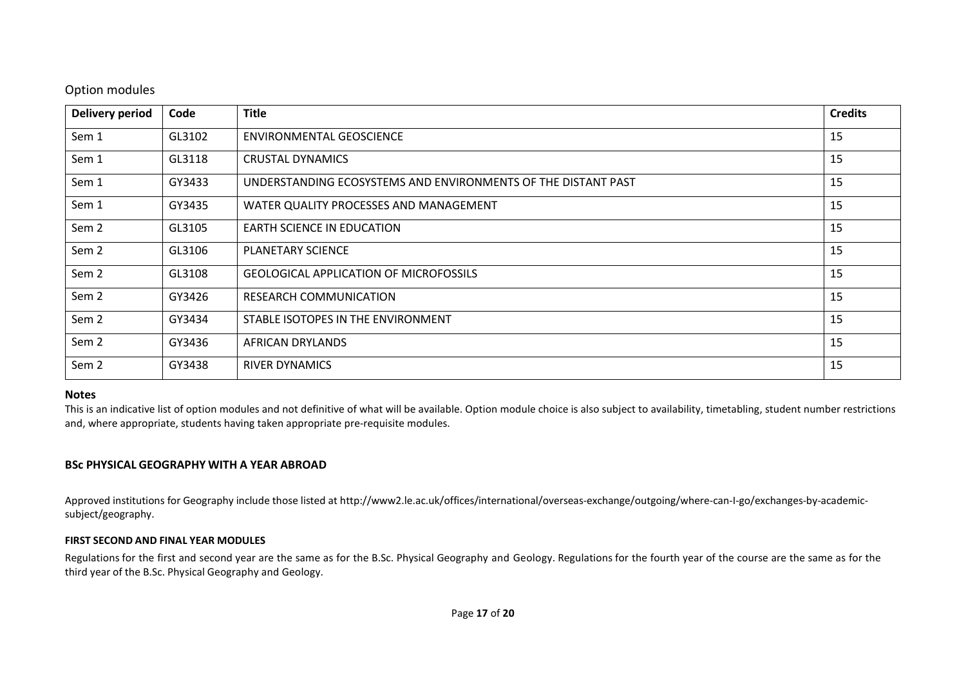### Option modules

| <b>Delivery period</b> | Code   | <b>Title</b>                                                  | <b>Credits</b> |
|------------------------|--------|---------------------------------------------------------------|----------------|
| Sem 1                  | GL3102 | ENVIRONMENTAL GEOSCIENCE                                      | 15             |
| Sem 1                  | GL3118 | CRUSTAL DYNAMICS                                              | 15             |
| Sem 1                  | GY3433 | UNDERSTANDING ECOSYSTEMS AND ENVIRONMENTS OF THE DISTANT PAST | 15             |
| Sem 1                  | GY3435 | WATER QUALITY PROCESSES AND MANAGEMENT                        | 15             |
| Sem 2                  | GL3105 | <b>EARTH SCIENCE IN EDUCATION</b>                             | 15             |
| Sem <sub>2</sub>       | GL3106 | <b>PLANETARY SCIENCE</b>                                      | 15             |
| Sem 2                  | GL3108 | <b>GEOLOGICAL APPLICATION OF MICROFOSSILS</b>                 | 15             |
| Sem 2                  | GY3426 | RESEARCH COMMUNICATION                                        | 15             |
| Sem <sub>2</sub>       | GY3434 | STABLE ISOTOPES IN THE ENVIRONMENT                            | 15             |
| Sem 2                  | GY3436 | AFRICAN DRYLANDS                                              | 15             |
| Sem 2                  | GY3438 | <b>RIVER DYNAMICS</b>                                         | 15             |

### **Notes**

This is an indicative list of option modules and not definitive of what will be available. Option module choice is also subject to availability, timetabling, student number restrictions and, where appropriate, students having taken appropriate pre-requisite modules.

### **BSc PHYSICAL GEOGRAPHY WITH A YEAR ABROAD**

Approved institutions for Geography include those listed at http://www2.le.ac.uk/offices/international/overseas-exchange/outgoing/where-can-I-go/exchanges-by-academicsubject/geography.

### **FIRST SECOND AND FINAL YEAR MODULES**

Regulations for the first and second year are the same as for the B.Sc. Physical Geography and Geology. Regulations for the fourth year of the course are the same as for the third year of the B.Sc. Physical Geography and Geology.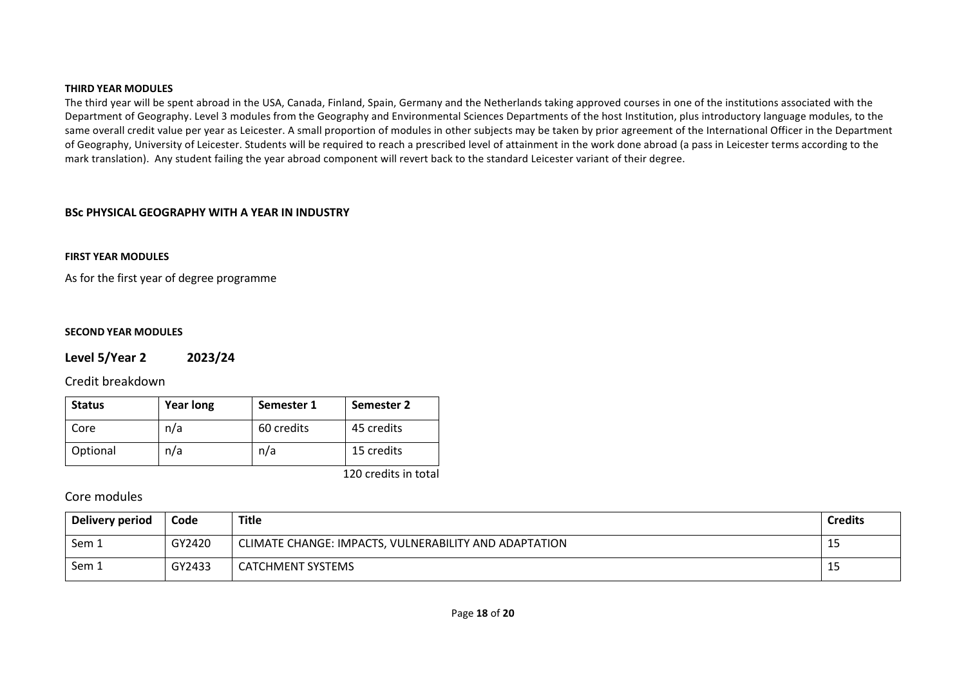#### **THIRD YEAR MODULES**

The third year will be spent abroad in the USA, Canada, Finland, Spain, Germany and the Netherlands taking approved courses in one of the institutions associated with the Department of Geography. Level 3 modules from the Geography and Environmental Sciences Departments of the host Institution, plus introductory language modules, to the same overall credit value per year as Leicester. A small proportion of modules in other subjects may be taken by prior agreement of the International Officer in the Department of Geography, University of Leicester. Students will be required to reach a prescribed level of attainment in the work done abroad (a pass in Leicester terms according to the mark translation). Any student failing the year abroad component will revert back to the standard Leicester variant of their degree.

### **BSc PHYSICAL GEOGRAPHY WITH A YEAR IN INDUSTRY**

### **FIRST YEAR MODULES**

As for the first year of degree programme

#### **SECOND YEAR MODULES**

### **Level 5/Year 2 2023/24**

### Credit breakdown

| <b>Status</b> | <b>Year long</b> | Semester 1 | Semester 2 |
|---------------|------------------|------------|------------|
| Core          | n/a              | 60 credits | 45 credits |
| Optional      | n/a              | n/a        | 15 credits |

120 credits in total

### Core modules

| Delivery period | Code   | Title                                                 | <b>Credits</b> |
|-----------------|--------|-------------------------------------------------------|----------------|
| Sem 1           | GY2420 | CLIMATE CHANGE: IMPACTS, VULNERABILITY AND ADAPTATION | 15             |
| Sem 1           | GY2433 | <b>CATCHMENT SYSTEMS</b>                              | 15             |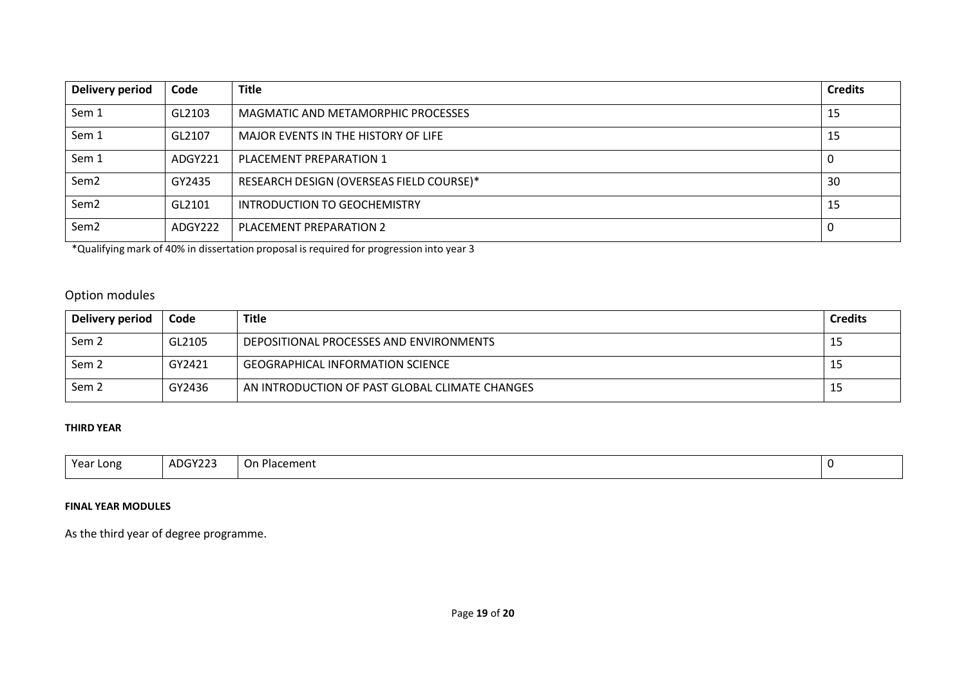| Delivery period  | Code    | <b>Title</b>                             | <b>Credits</b> |
|------------------|---------|------------------------------------------|----------------|
| Sem 1            | GL2103  | MAGMATIC AND METAMORPHIC PROCESSES       | 15             |
| Sem 1            | GL2107  | MAJOR EVENTS IN THE HISTORY OF LIFE      | 15             |
| Sem 1            | ADGY221 | PLACEMENT PREPARATION 1                  |                |
| Sem <sub>2</sub> | GY2435  | RESEARCH DESIGN (OVERSEAS FIELD COURSE)* | 30             |
| Sem <sub>2</sub> | GL2101  | INTRODUCTION TO GEOCHEMISTRY             | 15             |
| Sem <sub>2</sub> | ADGY222 | PLACEMENT PREPARATION 2                  |                |

\*Qualifying mark of 40% in dissertation proposal is required for progression into year 3

## Option modules

| Delivery period  | Code   | Title                                          | <b>Credits</b> |
|------------------|--------|------------------------------------------------|----------------|
| Sem <sub>2</sub> | GL2105 | DEPOSITIONAL PROCESSES AND ENVIRONMENTS        | ᆠ              |
| Sem <sub>2</sub> | GY2421 | <b>GEOGRAPHICAL INFORMATION SCIENCE</b>        | ᅩ              |
| Sem 2            | GY2436 | AN INTRODUCTION OF PAST GLOBAL CLIMATE CHANGES | ᅩ              |

### **THIRD YEAR**

| Year Long | ADGY223 | -<br>Or.<br>Placement | J |
|-----------|---------|-----------------------|---|

### **FINAL YEAR MODULES**

As the third year of degree programme.